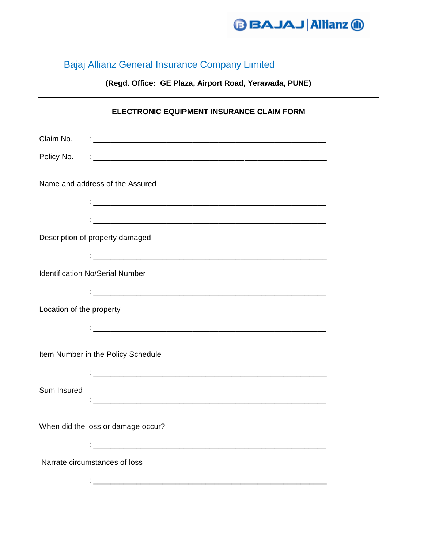

## Bajaj Allianz General Insurance Company Limited

**(Regd. Office: GE Plaza, Airport Road, Yerawada, PUNE)**

|                                        | ELECTRONIC EQUIPMENT INSURANCE CLAIM FORM                                                                             |
|----------------------------------------|-----------------------------------------------------------------------------------------------------------------------|
| Claim No.                              | <u> 1988 - Johann John Stein, meilich aus der Stein and der Stein aus der Stein aus der Stein aus der Stein and d</u> |
|                                        |                                                                                                                       |
| Name and address of the Assured        |                                                                                                                       |
|                                        |                                                                                                                       |
|                                        |                                                                                                                       |
| Description of property damaged        |                                                                                                                       |
|                                        |                                                                                                                       |
| <b>Identification No/Serial Number</b> |                                                                                                                       |
|                                        |                                                                                                                       |
| Location of the property               |                                                                                                                       |
|                                        |                                                                                                                       |
| Item Number in the Policy Schedule     |                                                                                                                       |
|                                        |                                                                                                                       |
| Sum Insured                            |                                                                                                                       |
| When did the loss or damage occur?     |                                                                                                                       |
|                                        |                                                                                                                       |
| Narrate circumstances of loss          |                                                                                                                       |
|                                        |                                                                                                                       |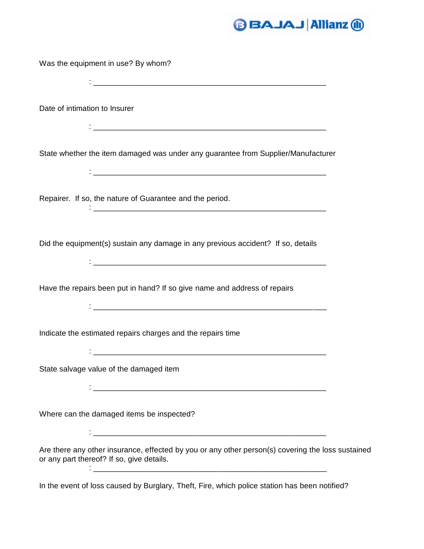## **D** BAJAJ Allianz ®

Was the equipment in use? By whom?

: where the contribution of the contribution of  $\mathcal{L}_\mathcal{M}$  . The contribution of  $\mathcal{L}_\mathcal{M}$ Date of intimation to Insurer : where the contribution of the contribution of  $\mathcal{L}_\mathcal{M}$  . The contribution of  $\mathcal{L}_\mathcal{M}$ State whether the item damaged was under any guarantee from Supplier/Manufacturer : where the contribution of the contribution of  $\mathcal{L}_\mathcal{M}$  . The contribution of  $\mathcal{L}_\mathcal{M}$ Repairer. If so, the nature of Guarantee and the period. : \_\_\_\_\_\_\_\_\_\_\_\_\_\_\_\_\_\_\_\_\_\_\_\_\_\_\_\_\_\_\_\_\_\_\_\_\_\_\_\_\_\_\_\_\_\_\_\_\_\_\_\_\_\_ Did the equipment(s) sustain any damage in any previous accident? If so, details : \_\_\_\_\_\_\_\_\_\_\_\_\_\_\_\_\_\_\_\_\_\_\_\_\_\_\_\_\_\_\_\_\_\_\_\_\_\_\_\_\_\_\_\_\_\_\_\_\_\_\_\_\_\_ Have the repairs been put in hand? If so give name and address of repairs : where the contribution of the contribution of  $\mathcal{L}_\mathcal{M}$  . The contribution of  $\mathcal{L}_\mathcal{M}$ Indicate the estimated repairs charges and the repairs time : \_\_\_\_\_\_\_\_\_\_\_\_\_\_\_\_\_\_\_\_\_\_\_\_\_\_\_\_\_\_\_\_\_\_\_\_\_\_\_\_\_\_\_\_\_\_\_\_\_\_\_\_\_\_ State salvage value of the damaged item :  $\frac{1}{2}$  ,  $\frac{1}{2}$  ,  $\frac{1}{2}$  ,  $\frac{1}{2}$  ,  $\frac{1}{2}$  ,  $\frac{1}{2}$  ,  $\frac{1}{2}$  ,  $\frac{1}{2}$  ,  $\frac{1}{2}$  ,  $\frac{1}{2}$  ,  $\frac{1}{2}$  ,  $\frac{1}{2}$  ,  $\frac{1}{2}$  ,  $\frac{1}{2}$  ,  $\frac{1}{2}$  ,  $\frac{1}{2}$  ,  $\frac{1}{2}$  ,  $\frac{1}{2}$  ,  $\frac$ Where can the damaged items be inspected? :  $\frac{1}{2}$  ,  $\frac{1}{2}$  ,  $\frac{1}{2}$  ,  $\frac{1}{2}$  ,  $\frac{1}{2}$  ,  $\frac{1}{2}$  ,  $\frac{1}{2}$  ,  $\frac{1}{2}$  ,  $\frac{1}{2}$  ,  $\frac{1}{2}$  ,  $\frac{1}{2}$  ,  $\frac{1}{2}$  ,  $\frac{1}{2}$  ,  $\frac{1}{2}$  ,  $\frac{1}{2}$  ,  $\frac{1}{2}$  ,  $\frac{1}{2}$  ,  $\frac{1}{2}$  ,  $\frac$ Are there any other insurance, effected by you or any other person(s) covering the loss sustained or any part thereof? If so, give details. : \_\_\_\_\_\_\_\_\_\_\_\_\_\_\_\_\_\_\_\_\_\_\_\_\_\_\_\_\_\_\_\_\_\_\_\_\_\_\_\_\_\_\_\_\_\_\_\_\_\_\_\_\_\_ In the event of loss caused by Burglary, Theft, Fire, which police station has been notified?